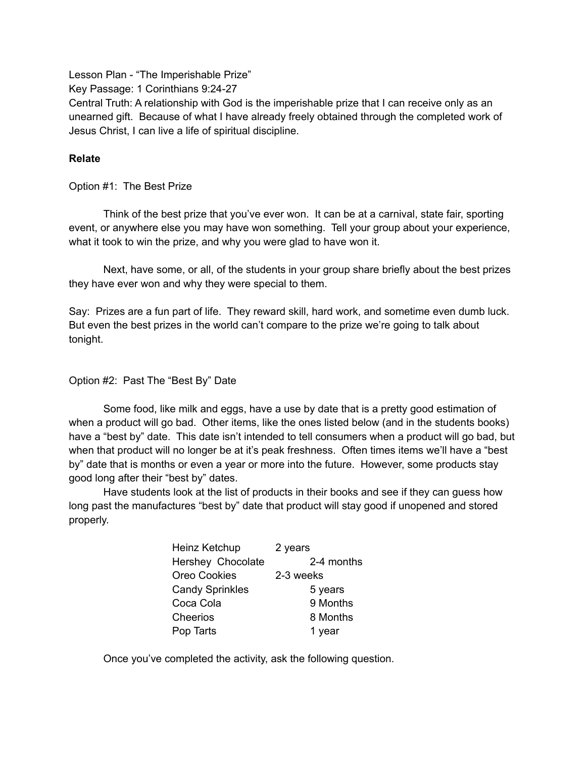Lesson Plan - "The Imperishable Prize"

Key Passage: 1 Corinthians 9:24-27

Central Truth: A relationship with God is the imperishable prize that I can receive only as an unearned gift. Because of what I have already freely obtained through the completed work of Jesus Christ, I can live a life of spiritual discipline.

## **Relate**

Option #1: The Best Prize

Think of the best prize that you've ever won. It can be at a carnival, state fair, sporting event, or anywhere else you may have won something. Tell your group about your experience, what it took to win the prize, and why you were glad to have won it.

Next, have some, or all, of the students in your group share briefly about the best prizes they have ever won and why they were special to them.

Say: Prizes are a fun part of life. They reward skill, hard work, and sometime even dumb luck. But even the best prizes in the world can't compare to the prize we're going to talk about tonight.

### Option #2: Past The "Best By" Date

Some food, like milk and eggs, have a use by date that is a pretty good estimation of when a product will go bad. Other items, like the ones listed below (and in the students books) have a "best by" date. This date isn't intended to tell consumers when a product will go bad, but when that product will no longer be at it's peak freshness. Often times items we'll have a "best by" date that is months or even a year or more into the future. However, some products stay good long after their "best by" dates.

Have students look at the list of products in their books and see if they can guess how long past the manufactures "best by" date that product will stay good if unopened and stored properly.

| Heinz Ketchup          | 2 years    |
|------------------------|------------|
| Hershey Chocolate      | 2-4 months |
| <b>Oreo Cookies</b>    | 2-3 weeks  |
| <b>Candy Sprinkles</b> | 5 years    |
| Coca Cola              | 9 Months   |
| Cheerios               | 8 Months   |
| Pop Tarts              | 1 year     |

Once you've completed the activity, ask the following question.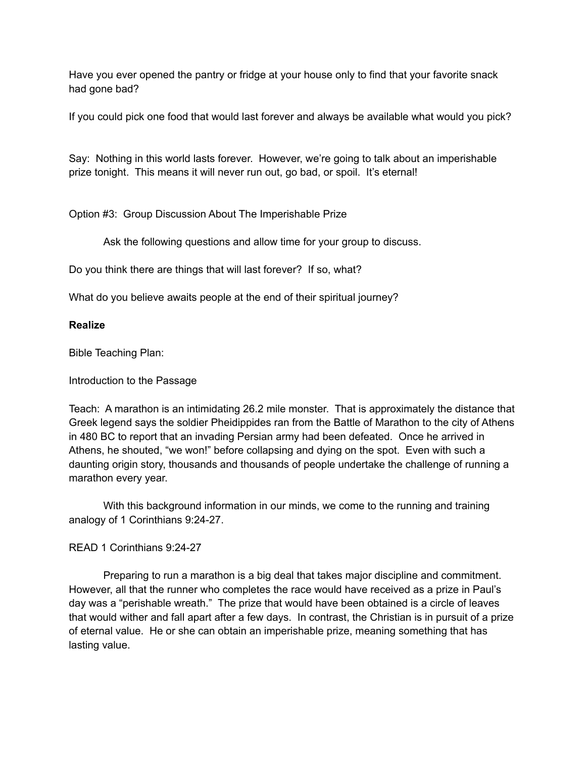Have you ever opened the pantry or fridge at your house only to find that your favorite snack had gone bad?

If you could pick one food that would last forever and always be available what would you pick?

Say: Nothing in this world lasts forever. However, we're going to talk about an imperishable prize tonight. This means it will never run out, go bad, or spoil. It's eternal!

Option #3: Group Discussion About The Imperishable Prize

Ask the following questions and allow time for your group to discuss.

Do you think there are things that will last forever? If so, what?

What do you believe awaits people at the end of their spiritual journey?

### **Realize**

Bible Teaching Plan:

Introduction to the Passage

Teach: A marathon is an intimidating 26.2 mile monster. That is approximately the distance that Greek legend says the soldier Pheidippides ran from the Battle of Marathon to the city of Athens in 480 BC to report that an invading Persian army had been defeated. Once he arrived in Athens, he shouted, "we won!" before collapsing and dying on the spot. Even with such a daunting origin story, thousands and thousands of people undertake the challenge of running a marathon every year.

With this background information in our minds, we come to the running and training analogy of 1 Corinthians 9:24-27.

# READ 1 Corinthians 9:24-27

Preparing to run a marathon is a big deal that takes major discipline and commitment. However, all that the runner who completes the race would have received as a prize in Paul's day was a "perishable wreath." The prize that would have been obtained is a circle of leaves that would wither and fall apart after a few days. In contrast, the Christian is in pursuit of a prize of eternal value. He or she can obtain an imperishable prize, meaning something that has lasting value.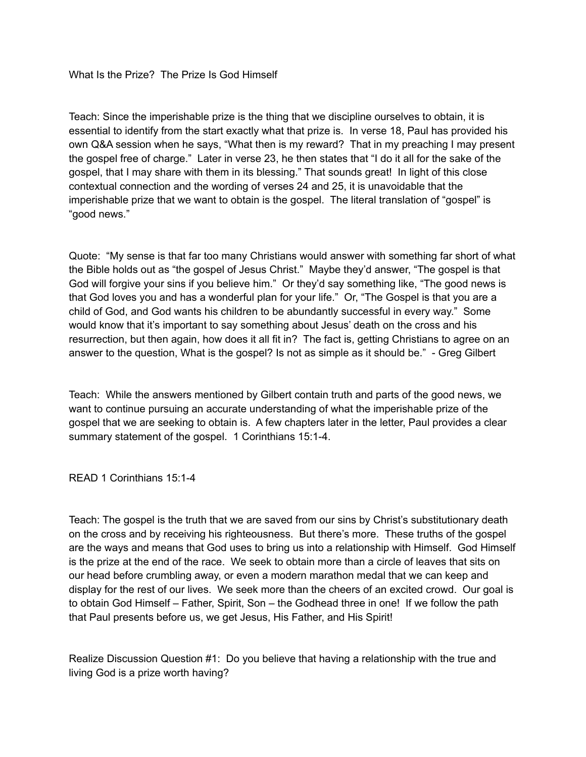What Is the Prize? The Prize Is God Himself

Teach: Since the imperishable prize is the thing that we discipline ourselves to obtain, it is essential to identify from the start exactly what that prize is. In verse 18, Paul has provided his own Q&A session when he says, "What then is my reward? That in my preaching I may present the gospel free of charge." Later in verse 23, he then states that "I do it all for the sake of the gospel, that I may share with them in its blessing." That sounds great! In light of this close contextual connection and the wording of verses 24 and 25, it is unavoidable that the imperishable prize that we want to obtain is the gospel. The literal translation of "gospel" is "good news."

Quote: "My sense is that far too many Christians would answer with something far short of what the Bible holds out as "the gospel of Jesus Christ." Maybe they'd answer, "The gospel is that God will forgive your sins if you believe him." Or they'd say something like, "The good news is that God loves you and has a wonderful plan for your life." Or, "The Gospel is that you are a child of God, and God wants his children to be abundantly successful in every way." Some would know that it's important to say something about Jesus' death on the cross and his resurrection, but then again, how does it all fit in? The fact is, getting Christians to agree on an answer to the question, What is the gospel? Is not as simple as it should be." - Greg Gilbert

Teach: While the answers mentioned by Gilbert contain truth and parts of the good news, we want to continue pursuing an accurate understanding of what the imperishable prize of the gospel that we are seeking to obtain is. A few chapters later in the letter, Paul provides a clear summary statement of the gospel. 1 Corinthians 15:1-4.

READ 1 Corinthians 15:1-4

Teach: The gospel is the truth that we are saved from our sins by Christ's substitutionary death on the cross and by receiving his righteousness. But there's more. These truths of the gospel are the ways and means that God uses to bring us into a relationship with Himself. God Himself is the prize at the end of the race. We seek to obtain more than a circle of leaves that sits on our head before crumbling away, or even a modern marathon medal that we can keep and display for the rest of our lives. We seek more than the cheers of an excited crowd. Our goal is to obtain God Himself – Father, Spirit, Son – the Godhead three in one! If we follow the path that Paul presents before us, we get Jesus, His Father, and His Spirit!

Realize Discussion Question #1: Do you believe that having a relationship with the true and living God is a prize worth having?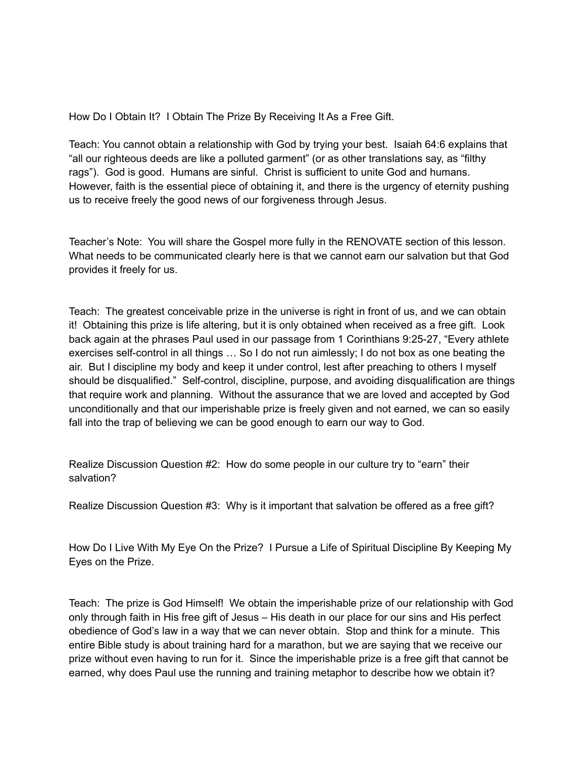How Do I Obtain It? I Obtain The Prize By Receiving It As a Free Gift.

Teach: You cannot obtain a relationship with God by trying your best. Isaiah 64:6 explains that "all our righteous deeds are like a polluted garment" (or as other translations say, as "filthy rags"). God is good. Humans are sinful. Christ is sufficient to unite God and humans. However, faith is the essential piece of obtaining it, and there is the urgency of eternity pushing us to receive freely the good news of our forgiveness through Jesus.

Teacher's Note: You will share the Gospel more fully in the RENOVATE section of this lesson. What needs to be communicated clearly here is that we cannot earn our salvation but that God provides it freely for us.

Teach: The greatest conceivable prize in the universe is right in front of us, and we can obtain it! Obtaining this prize is life altering, but it is only obtained when received as a free gift. Look back again at the phrases Paul used in our passage from 1 Corinthians 9:25-27, "Every athlete exercises self-control in all things … So I do not run aimlessly; I do not box as one beating the air. But I discipline my body and keep it under control, lest after preaching to others I myself should be disqualified." Self-control, discipline, purpose, and avoiding disqualification are things that require work and planning. Without the assurance that we are loved and accepted by God unconditionally and that our imperishable prize is freely given and not earned, we can so easily fall into the trap of believing we can be good enough to earn our way to God.

Realize Discussion Question #2: How do some people in our culture try to "earn" their salvation?

Realize Discussion Question #3: Why is it important that salvation be offered as a free gift?

How Do I Live With My Eye On the Prize? I Pursue a Life of Spiritual Discipline By Keeping My Eyes on the Prize.

Teach: The prize is God Himself! We obtain the imperishable prize of our relationship with God only through faith in His free gift of Jesus – His death in our place for our sins and His perfect obedience of God's law in a way that we can never obtain. Stop and think for a minute. This entire Bible study is about training hard for a marathon, but we are saying that we receive our prize without even having to run for it. Since the imperishable prize is a free gift that cannot be earned, why does Paul use the running and training metaphor to describe how we obtain it?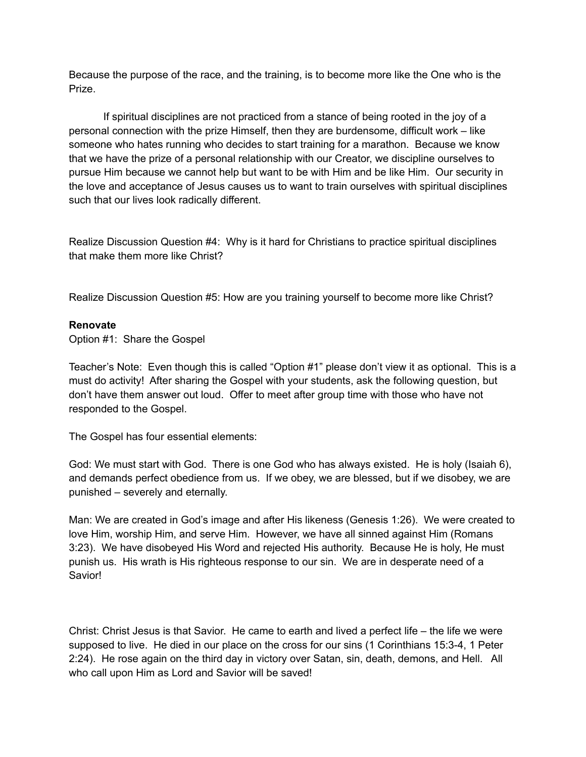Because the purpose of the race, and the training, is to become more like the One who is the Prize.

If spiritual disciplines are not practiced from a stance of being rooted in the joy of a personal connection with the prize Himself, then they are burdensome, difficult work – like someone who hates running who decides to start training for a marathon. Because we know that we have the prize of a personal relationship with our Creator, we discipline ourselves to pursue Him because we cannot help but want to be with Him and be like Him. Our security in the love and acceptance of Jesus causes us to want to train ourselves with spiritual disciplines such that our lives look radically different.

Realize Discussion Question #4: Why is it hard for Christians to practice spiritual disciplines that make them more like Christ?

Realize Discussion Question #5: How are you training yourself to become more like Christ?

### **Renovate**

Option #1: Share the Gospel

Teacher's Note: Even though this is called "Option #1" please don't view it as optional. This is a must do activity! After sharing the Gospel with your students, ask the following question, but don't have them answer out loud. Offer to meet after group time with those who have not responded to the Gospel.

The Gospel has four essential elements:

God: We must start with God. There is one God who has always existed. He is holy (Isaiah 6), and demands perfect obedience from us. If we obey, we are blessed, but if we disobey, we are punished – severely and eternally.

Man: We are created in God's image and after His likeness (Genesis 1:26). We were created to love Him, worship Him, and serve Him. However, we have all sinned against Him (Romans 3:23). We have disobeyed His Word and rejected His authority. Because He is holy, He must punish us. His wrath is His righteous response to our sin. We are in desperate need of a Savior!

Christ: Christ Jesus is that Savior. He came to earth and lived a perfect life – the life we were supposed to live. He died in our place on the cross for our sins (1 Corinthians 15:3-4, 1 Peter 2:24). He rose again on the third day in victory over Satan, sin, death, demons, and Hell. All who call upon Him as Lord and Savior will be saved!